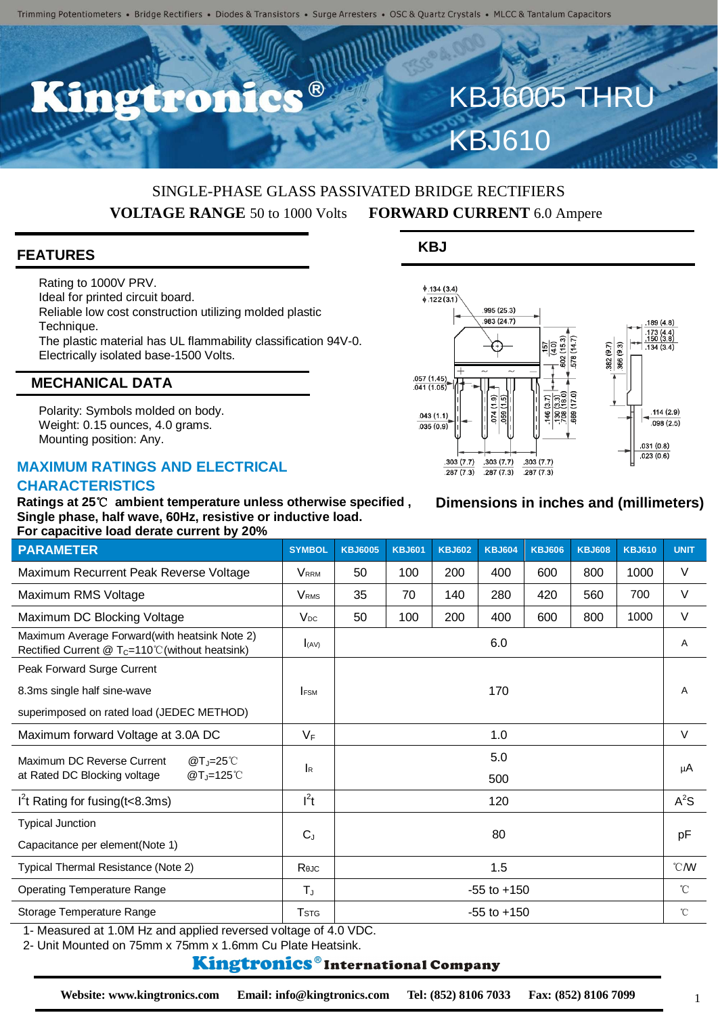C.C. ®

### SINGLE-PHASE GLASS PASSIVATED BRIDGE RECTIFIERS **VOLTAGE RANGE** 50 to 1000 Volts **FORWARD CURRENT** 6.0 Ampere

#### **FEATURES**

Rating to 1000V PRV. Ideal for printed circuit board. Reliable low cost construction utilizing molded plastic Technique. The plastic material has UL flammability classification 94V-0. Electrically isolated base-1500 Volts.

#### **MECHANICAL DATA**

Polarity: Symbols molded on body. Weight: 0.15 ounces, 4.0 grams. Mounting position: Any.

#### **MAXIMUM RATINGS AND ELECTRICAL CHARACTERISTICS**

**Ratings at 25**℃ **ambient temperature unless otherwise specified , Single phase, half wave, 60Hz, resistive or inductive load. For capacitive load derate current by 20%**

| <b>PARAMETER</b>                                                                                           | <b>SYMBOL</b>             | <b>KBJ6005</b>  | <b>KBJ601</b> | <b>KBJ602</b> | <b>KBJ604</b> | <b>KBJ606</b> | <b>KBJ608</b> | <b>KBJ610</b>    | <b>UNIT</b> |
|------------------------------------------------------------------------------------------------------------|---------------------------|-----------------|---------------|---------------|---------------|---------------|---------------|------------------|-------------|
| Maximum Recurrent Peak Reverse Voltage                                                                     | <b>VRRM</b>               | 50              | 100           | 200           | 400           | 600           | 800           | 1000             | $\vee$      |
| Maximum RMS Voltage                                                                                        | <b>V</b> <sub>RMS</sub>   | 35              | 70            | 140           | 280           | 420           | 560           | 700              | $\vee$      |
| Maximum DC Blocking Voltage                                                                                | $V_{DC}$                  | 50              | 100           | 200           | 400           | 600           | 800           | 1000             | $\vee$      |
| Maximum Average Forward(with heatsink Note 2)<br>Rectified Current $@T_c=110^{\circ}$ C (without heatsink) | I(AV)                     | 6.0             |               |               |               |               |               |                  | A           |
| Peak Forward Surge Current                                                                                 |                           |                 |               |               |               |               |               |                  |             |
| 8.3ms single half sine-wave                                                                                | <b>IFSM</b>               | 170             |               |               |               |               |               |                  | A           |
| superimposed on rated load (JEDEC METHOD)                                                                  |                           |                 |               |               |               |               |               |                  |             |
| Maximum forward Voltage at 3.0A DC                                                                         | $V_F$                     | 1.0             |               |               |               |               |               |                  | $\vee$      |
| Maximum DC Reverse Current<br>$@T = 25^{\circ}$ C<br>at Rated DC Blocking voltage<br>@T <sub>J</sub> =125℃ | $\mathsf{I}_{\mathsf{R}}$ | 5.0             |               |               |               |               |               |                  | μA          |
|                                                                                                            |                           | 500             |               |               |               |               |               |                  |             |
| $I2t$ Rating for fusing (t < 8.3ms)                                                                        | $l^2t$                    | 120             |               |               |               |               |               |                  | $A^2S$      |
| <b>Typical Junction</b>                                                                                    | $C_{J}$                   | 80              |               |               |               |               |               |                  | pF          |
| Capacitance per element(Note 1)                                                                            |                           |                 |               |               |               |               |               |                  |             |
| Typical Thermal Resistance (Note 2)                                                                        | Rejc                      | 1.5             |               |               |               |               |               | $\mathcal{C}$ MV |             |
| <b>Operating Temperature Range</b>                                                                         | $T_{J}$                   | $-55$ to $+150$ |               |               |               |               |               | $^{\circ}$ C     |             |
| Storage Temperature Range                                                                                  | <b>T</b> <sub>STG</sub>   | $-55$ to $+150$ |               |               |               |               | $^{\circ}$ C  |                  |             |
| 1- Measured at 1.0M Hz and applied reversed voltage of 4.0 VDC.                                            |                           |                 |               |               |               |               |               |                  |             |

2- Unit Mounted on 75mm x 75mm x 1.6mm Cu Plate Heatsink.

#### **Kingtronics**®International Company

# $0.134(3.4)$

**KBJ**

 $\sqrt{122(3.1)}$ 

 $\frac{.057(1.45)}{.041(1.05)}$ 



# 189 (4.8)  $.173(4.4)$ <br> $.150(3.8)$  $\begin{array}{c}\n 157 \\
\hline\n (40) \\
2(15.3) \\
\hline\n 8(14.7)\n \end{array}$

 $\frac{382(9.7)}{366(9.3)}$ 

602

 $\frac{180}{180}$ 

 $134(3.4)$ 

**KBJ6005 THR** 

KBJ610

995 (25.3) 983 (24.7)

1